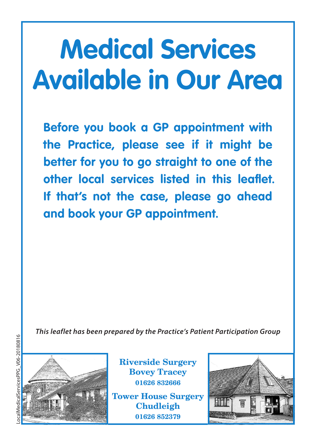# **Medical Services Available in Our Area**

**Before you book a GP appointment with the Practice, please see if it might be better for you to go straight to one of the other local services listed in this leaflet. If that's not the case, please go ahead and book your GP appointment.**

*This leaflet has been prepared by the Practice's Patient Participation Group*



**Riverside Surgery Bovey Tracey 01626 832666**

**Tower House Surgery Chudleigh 01626 852379**

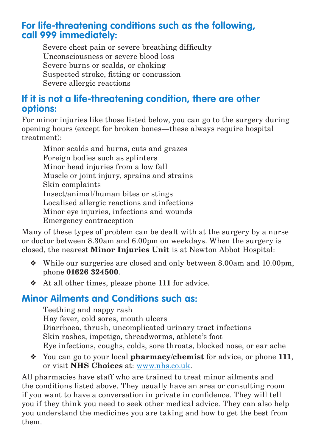#### **For life-threatening conditions such as the following, call 999 immediately:**

Severe chest pain or severe breathing difficulty Unconsciousness or severe blood loss Severe burns or scalds, or choking Suspected stroke, fitting or concussion Severe allergic reactions

## **If it is not a life-threatening condition, there are other options:**

For minor injuries like those listed below, you can go to the surgery during opening hours (except for broken bones—these always require hospital treatment):

Minor scalds and burns, cuts and grazes Foreign bodies such as splinters Minor head injuries from a low fall Muscle or joint injury, sprains and strains Skin complaints Insect/animal/human bites or stings Localised allergic reactions and infections Minor eye injuries, infections and wounds Emergency contraception

Many of these types of problem can be dealt with at the surgery by a nurse or doctor between 8.30am and 6.00pm on weekdays. When the surgery is closed, the nearest **Minor Injuries Unit** is at Newton Abbot Hospital:

- ❖ While our surgeries are closed and only between 8.00am and 10.00pm, phone **01626 324500**.
- ❖ At all other times, please phone **111** for advice.

## **Minor Ailments and Conditions such as:**

Teething and nappy rash Hay fever, cold sores, mouth ulcers Diarrhoea, thrush, uncomplicated urinary tract infections Skin rashes, impetigo, threadworms, athlete's foot Eye infections, coughs, colds, sore throats, blocked nose, or ear ache

❖ You can go to your local **pharmacy/chemist** for advice, or phone **111**, or visit **NHS Choices** at: www.nhs.co.uk.

All pharmacies have staff who are trained to treat minor ailments and the conditions listed above. They usually have an area or consulting room if you want to have a conversation in private in confidence. They will tell you if they think you need to seek other medical advice. They can also help you understand the medicines you are taking and how to get the best from them.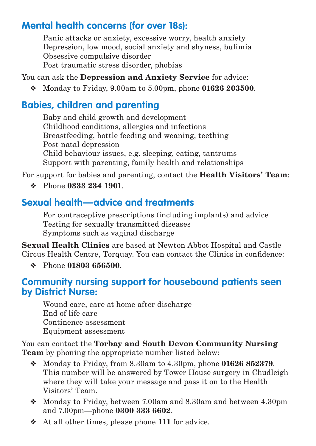# **Mental health concerns (for over 18s):**

Panic attacks or anxiety, excessive worry, health anxiety Depression, low mood, social anxiety and shyness, bulimia Obsessive compulsive disorder Post traumatic stress disorder, phobias

You can ask the **Depression and Anxiety Service** for advice:

❖ Monday to Friday, 9.00am to 5.00pm, phone **01626 203500**.

# **Babies, children and parenting**

Baby and child growth and development Childhood conditions, allergies and infections Breastfeeding, bottle feeding and weaning, teething Post natal depression Child behaviour issues, e.g. sleeping, eating, tantrums Support with parenting, family health and relationships

For support for babies and parenting, contact the **Health Visitors' Team**:

❖ Phone **0333 234 1901**.

# **Sexual health—advice and treatments**

For contraceptive prescriptions (including implants) and advice Testing for sexually transmitted diseases Symptoms such as vaginal discharge

**Sexual Health Clinics** are based at Newton Abbot Hospital and Castle Circus Health Centre, Torquay. You can contact the Clinics in confidence:

❖ Phone **01803 656500**.

#### **Community nursing support for housebound patients seen by District Nurse:**

Wound care, care at home after discharge End of life care Continence assessment Equipment assessment

You can contact the **Torbay and South Devon Community Nursing Team** by phoning the appropriate number listed below:

- ❖ Monday to Friday, from 8.30am to 4.30pm, phone **01626 852379**. This number will be answered by Tower House surgery in Chudleigh where they will take your message and pass it on to the Health Visitors' Team.
- ❖ Monday to Friday, between 7.00am and 8.30am and between 4.30pm and 7.00pm—phone **0300 333 6602**.
- ❖ At all other times, please phone **111** for advice.